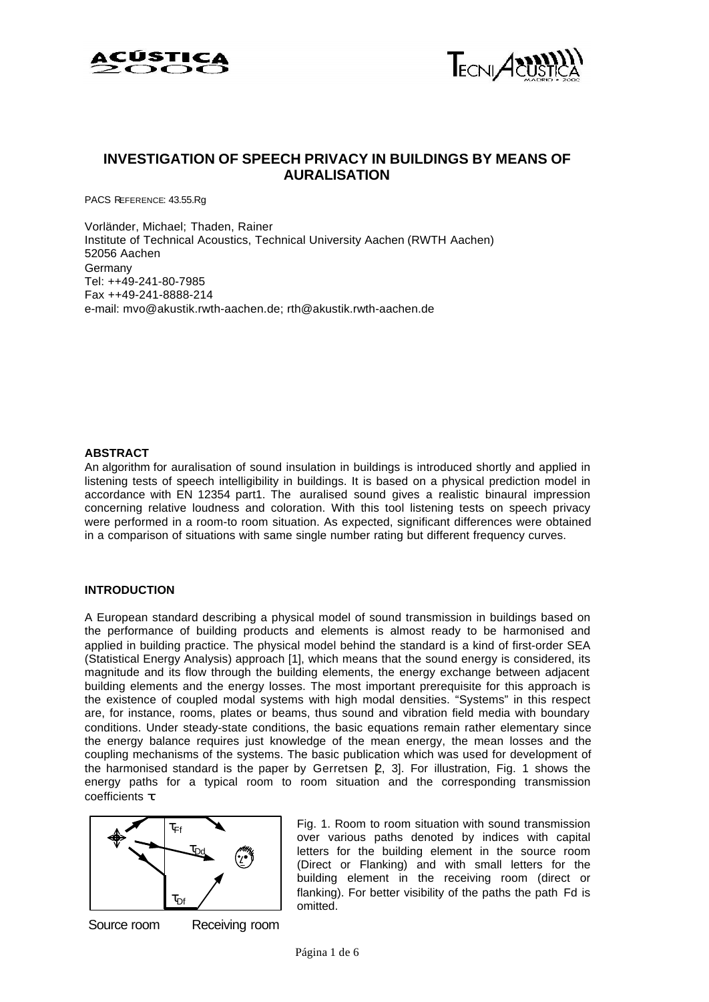



# **INVESTIGATION OF SPEECH PRIVACY IN BUILDINGS BY MEANS OF AURALISATION**

PACS REFERENCE: 43.55.Rg

Vorländer, Michael; Thaden, Rainer Institute of Technical Acoustics, Technical University Aachen (RWTH Aachen) 52056 Aachen **Germany** Tel: ++49-241-80-7985 Fax ++49-241-8888-214 e-mail: mvo@akustik.rwth-aachen.de; rth@akustik.rwth-aachen.de

### **ABSTRACT**

An algorithm for auralisation of sound insulation in buildings is introduced shortly and applied in listening tests of speech intelligibility in buildings. It is based on a physical prediction model in accordance with EN 12354 part1. The auralised sound gives a realistic binaural impression concerning relative loudness and coloration. With this tool listening tests on speech privacy were performed in a room-to room situation. As expected, significant differences were obtained in a comparison of situations with same single number rating but different frequency curves.

# **INTRODUCTION**

A European standard describing a physical model of sound transmission in buildings based on the performance of building products and elements is almost ready to be harmonised and applied in building practice. The physical model behind the standard is a kind of first-order SEA (Statistical Energy Analysis) approach [1], which means that the sound energy is considered, its magnitude and its flow through the building elements, the energy exchange between adjacent building elements and the energy losses. The most important prerequisite for this approach is the existence of coupled modal systems with high modal densities. "Systems" in this respect are, for instance, rooms, plates or beams, thus sound and vibration field media with boundary conditions. Under steady-state conditions, the basic equations remain rather elementary since the energy balance requires just knowledge of the mean energy, the mean losses and the coupling mechanisms of the systems. The basic publication which was used for development of the harmonised standard is the paper by Gerretsen  $[2, 3]$ . For illustration, Fig. 1 shows the energy paths for a typical room to room situation and the corresponding transmission coefficients *t*.



Fig. 1. Room to room situation with sound transmission over various paths denoted by indices with capital letters for the building element in the source room (Direct or Flanking) and with small letters for the building element in the receiving room (direct or flanking). For better visibility of the paths the path Fd is omitted.

Source room Receiving room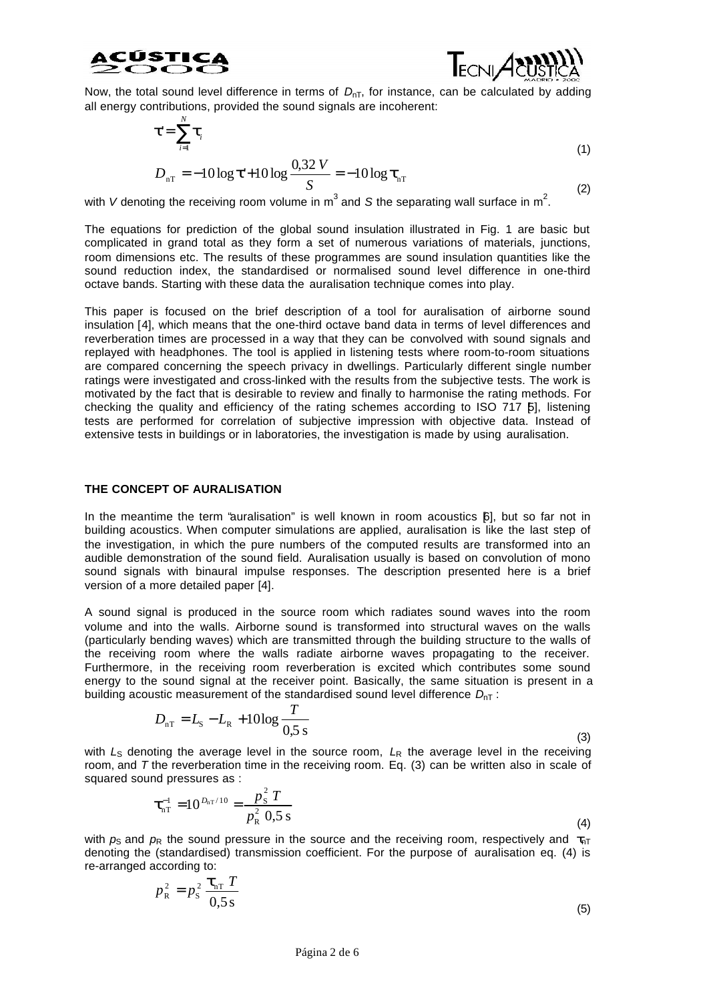



Now, the total sound level difference in terms of  $D_{nT}$ , for instance, can be calculated by adding all energy contributions, provided the sound signals are incoherent:

$$
\mathbf{t}' = \sum_{i=1}^{N} \mathbf{t}_i
$$
  

$$
D_{nT} = -10 \log \mathbf{t}' + 10 \log \frac{0.32 V}{S} = -10 \log \mathbf{t}_{nT}
$$
 (1)

$$
D_{nT} = -10\log t + 10\log \frac{0.32 \text{ V}}{S} = -10\log t_{nT}
$$
 (2)

with V denoting the receiving room volume in m<sup>3</sup> and S the separating wall surface in m<sup>2</sup>.

The equations for prediction of the global sound insulation illustrated in Fig. 1 are basic but complicated in grand total as they form a set of numerous variations of materials, junctions, room dimensions etc. The results of these programmes are sound insulation quantities like the sound reduction index, the standardised or normalised sound level difference in one-third octave bands. Starting with these data the auralisation technique comes into play.

This paper is focused on the brief description of a tool for auralisation of airborne sound insulation [4], which means that the one-third octave band data in terms of level differences and reverberation times are processed in a way that they can be convolved with sound signals and replayed with headphones. The tool is applied in listening tests where room-to-room situations are compared concerning the speech privacy in dwellings. Particularly different single number ratings were investigated and cross-linked with the results from the subjective tests. The work is motivated by the fact that is desirable to review and finally to harmonise the rating methods. For checking the quality and efficiency of the rating schemes according to ISO 717  $\overline{b}$ ], listening tests are performed for correlation of subjective impression with objective data. Instead of extensive tests in buildings or in laboratories, the investigation is made by using auralisation.

# **THE CONCEPT OF AURALISATION**

In the meantime the term "auralisation" is well known in room acoustics [6], but so far not in building acoustics. When computer simulations are applied, auralisation is like the last step of the investigation, in which the pure numbers of the computed results are transformed into an audible demonstration of the sound field. Auralisation usually is based on convolution of mono sound signals with binaural impulse responses. The description presented here is a brief version of a more detailed paper [4].

A sound signal is produced in the source room which radiates sound waves into the room volume and into the walls. Airborne sound is transformed into structural waves on the walls (particularly bending waves) which are transmitted through the building structure to the walls of the receiving room where the walls radiate airborne waves propagating to the receiver. Furthermore, in the receiving room reverberation is excited which contributes some sound energy to the sound signal at the receiver point. Basically, the same situation is present in a building acoustic measurement of the standardised sound level difference  $D_{nT}$ :

$$
D_{nT} = L_{s} - L_{R} + 10\log \frac{T}{0.5 \text{ s}}
$$
\n(3)

with  $L<sub>S</sub>$  denoting the average level in the source room,  $L<sub>R</sub>$  the average level in the receiving room, and *T* the reverberation time in the receiving room. Eq. (3) can be written also in scale of squared sound pressures as :

$$
\boldsymbol{t}_{nT}^{-1} = 10^{D_{nT}/10} = \frac{p_s^2 T}{p_R^2 \ 0.5 \text{ s}}
$$
 (4)

with  $p_S$  and  $p_R$  the sound pressure in the source and the receiving room, respectively and  $t_{nT}$ denoting the (standardised) transmission coefficient. For the purpose of auralisation eq. (4) is re-arranged according to:

$$
p_{\rm R}^2 = p_{\rm S}^2 \frac{\boldsymbol{t}_{\rm nT} T}{0.5 \, \rm s} \tag{5}
$$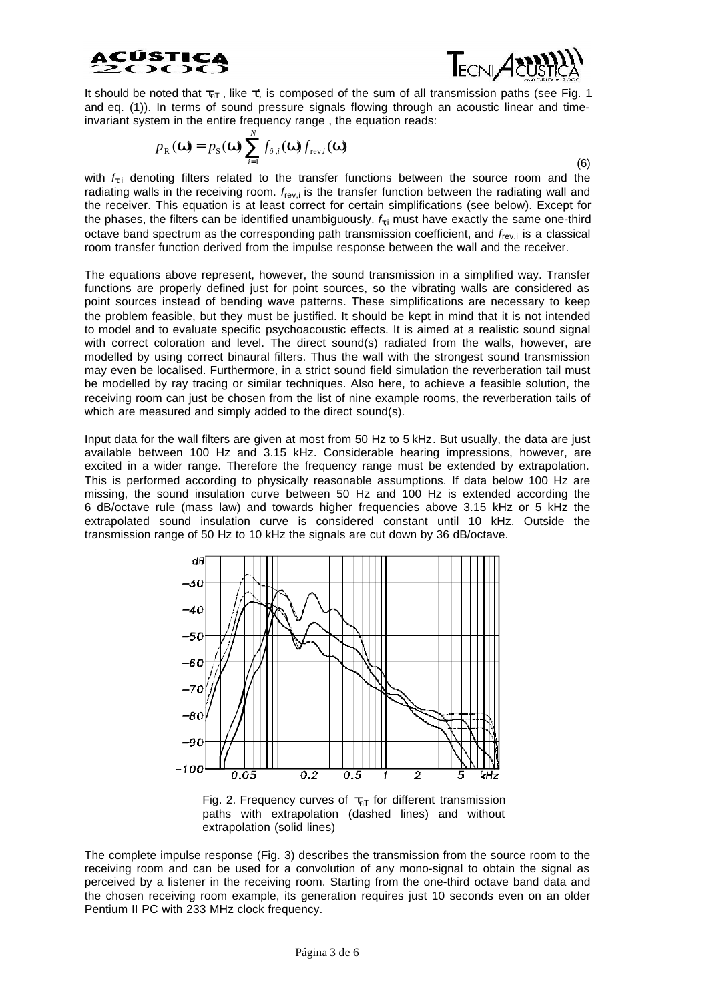



It should be noted that  $t_{nT}$ , like  $t'$ , is composed of the sum of all transmission paths (see Fig. 1 and eq. (1)). In terms of sound pressure signals flowing through an acoustic linear and timeinvariant system in the entire frequency range , the equation reads:

$$
p_{R}(\mathbf{W}) = p_{S}(\mathbf{W}) \sum_{i=1}^{N} f_{\delta,i}(\mathbf{W}) f_{\text{rev},i}(\mathbf{W})
$$
\n(6)

with *f*<sup>τ</sup>,i denoting filters related to the transfer functions between the source room and the radiating walls in the receiving room. *f*<sub>rev,i</sub> is the transfer function between the radiating wall and the receiver. This equation is at least correct for certain simplifications (see below). Except for the phases, the filters can be identified unambiguously.  $f_{\tau, \text{i}}$  must have exactly the same one-third octave band spectrum as the corresponding path transmission coefficient, and *f<sub>rev,i</sub>* is a classical room transfer function derived from the impulse response between the wall and the receiver.

The equations above represent, however, the sound transmission in a simplified way. Transfer functions are properly defined just for point sources, so the vibrating walls are considered as point sources instead of bending wave patterns. These simplifications are necessary to keep the problem feasible, but they must be justified. It should be kept in mind that it is not intended to model and to evaluate specific psychoacoustic effects. It is aimed at a realistic sound signal with correct coloration and level. The direct sound(s) radiated from the walls, however, are modelled by using correct binaural filters. Thus the wall with the strongest sound transmission may even be localised. Furthermore, in a strict sound field simulation the reverberation tail must be modelled by ray tracing or similar techniques. Also here, to achieve a feasible solution, the receiving room can just be chosen from the list of nine example rooms, the reverberation tails of which are measured and simply added to the direct sound(s).

Input data for the wall filters are given at most from 50 Hz to 5 kHz. But usually, the data are just available between 100 Hz and 3.15 kHz. Considerable hearing impressions, however, are excited in a wider range. Therefore the frequency range must be extended by extrapolation. This is performed according to physically reasonable assumptions. If data below 100 Hz are missing, the sound insulation curve between 50 Hz and 100 Hz is extended according the 6 dB/octave rule (mass law) and towards higher frequencies above 3.15 kHz or 5 kHz the extrapolated sound insulation curve is considered constant until 10 kHz. Outside the transmission range of 50 Hz to 10 kHz the signals are cut down by 36 dB/octave.



Fig. 2. Frequency curves of  $t_{nT}$  for different transmission paths with extrapolation (dashed lines) and without extrapolation (solid lines)

The complete impulse response (Fig. 3) describes the transmission from the source room to the receiving room and can be used for a convolution of any mono-signal to obtain the signal as perceived by a listener in the receiving room. Starting from the one-third octave band data and the chosen receiving room example, its generation requires just 10 seconds even on an older Pentium II PC with 233 MHz clock frequency.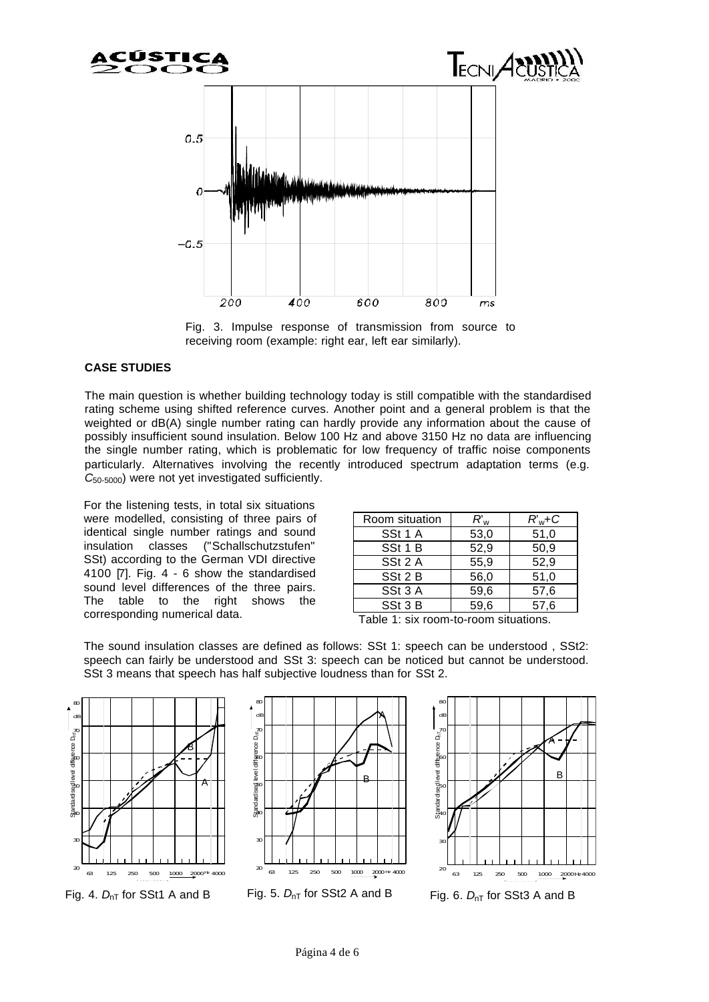

Fig. 3. Impulse response of transmission from source to receiving room (example: right ear, left ear similarly).

# **CASE STUDIES**

The main question is whether building technology today is still compatible with the standardised rating scheme using shifted reference curves. Another point and a general problem is that the weighted or dB(A) single number rating can hardly provide any information about the cause of possibly insufficient sound insulation. Below 100 Hz and above 3150 Hz no data are influencing the single number rating, which is problematic for low frequency of traffic noise components particularly. Alternatives involving the recently introduced spectrum adaptation terms (e.g. *C*50-5000) were not yet investigated sufficiently.

For the listening tests, in total six situations were modelled, consisting of three pairs of identical single number ratings and sound insulation classes ("Schallschutzstufen" SSt) according to the German VDI directive 4100 [7]. Fig. 4 - 6 show the standardised sound level differences of the three pairs. The table to the right shows the corresponding numerical data.

| Room situation | $R_{w}$ | $R_w+C$ |
|----------------|---------|---------|
| SSt 1 A        | 53,0    | 51,0    |
| SSt 1 B        | 52,9    | 50,9    |
| SSt 2 A        | 55,9    | 52,9    |
| SSt 2 B        | 56,0    | 51,0    |
| SSt 3 A        | 59,6    | 57,6    |
| SSt 3B         | 59,6    | 57,6    |

Table 1: six room-to-room situations.

The sound insulation classes are defined as follows: SSt 1: speech can be understood , SSt2: speech can fairly be understood and SSt 3: speech can be noticed but cannot be understood. SSt 3 means that speech has half subjective loudness than for SSt 2.









Fig. 6.  $D_{nT}$  for SSt3 A and B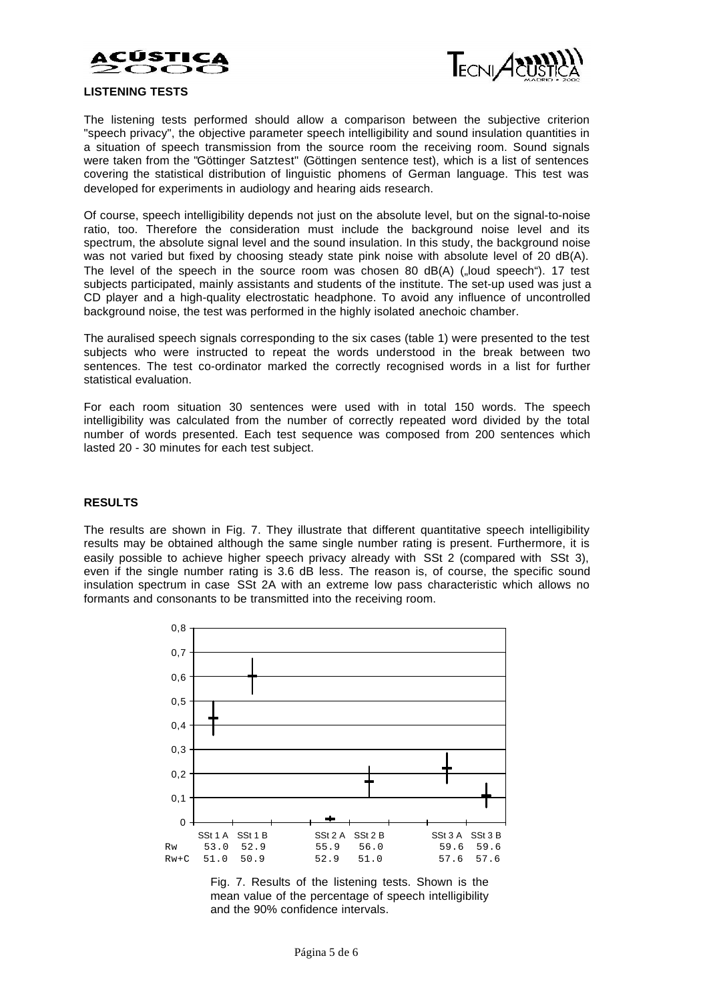



#### **LISTENING TESTS**

The listening tests performed should allow a comparison between the subjective criterion "speech privacy", the objective parameter speech intelligibility and sound insulation quantities in a situation of speech transmission from the source room the receiving room. Sound signals were taken from the "Göttinger Satztest" (Göttingen sentence test), which is a list of sentences covering the statistical distribution of linguistic phomens of German language. This test was developed for experiments in audiology and hearing aids research.

Of course, speech intelligibility depends not just on the absolute level, but on the signal-to-noise ratio, too. Therefore the consideration must include the background noise level and its spectrum, the absolute signal level and the sound insulation. In this study, the background noise was not varied but fixed by choosing steady state pink noise with absolute level of 20 dB(A). The level of the speech in the source room was chosen 80  $dB(A)$  ("loud speech"). 17 test subjects participated, mainly assistants and students of the institute. The set-up used was just a CD player and a high-quality electrostatic headphone. To avoid any influence of uncontrolled background noise, the test was performed in the highly isolated anechoic chamber.

The auralised speech signals corresponding to the six cases (table 1) were presented to the test subjects who were instructed to repeat the words understood in the break between two sentences. The test co-ordinator marked the correctly recognised words in a list for further statistical evaluation.

For each room situation 30 sentences were used with in total 150 words. The speech intelligibility was calculated from the number of correctly repeated word divided by the total number of words presented. Each test sequence was composed from 200 sentences which lasted 20 - 30 minutes for each test subject.

# **RESULTS**

The results are shown in Fig. 7. They illustrate that different quantitative speech intelligibility results may be obtained although the same single number rating is present. Furthermore, it is easily possible to achieve higher speech privacy already with SSt 2 (compared with SSt 3), even if the single number rating is 3.6 dB less. The reason is, of course, the specific sound insulation spectrum in case SSt 2A with an extreme low pass characteristic which allows no formants and consonants to be transmitted into the receiving room.



Fig. 7. Results of the listening tests. Shown is the mean value of the percentage of speech intelligibility and the 90% confidence intervals.